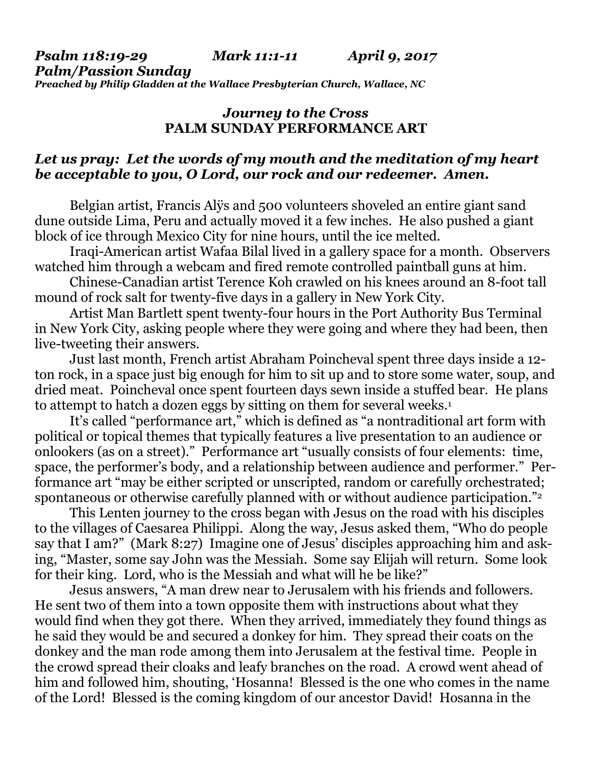*Psalm 118:19-29 Mark 11:1-11 April 9, 2017 Palm/Passion Sunday Preached by Philip Gladden at the Wallace Presbyterian Church, Wallace, NC*

## *Journey to the Cross* **PALM SUNDAY PERFORMANCE ART**

## *Let us pray: Let the words of my mouth and the meditation of my heart be acceptable to you, O Lord, our rock and our redeemer. Amen.*

Belgian artist, Francis Alÿs and 500 volunteers shoveled an entire giant sand dune outside Lima, Peru and actually moved it a few inches. He also pushed a giant block of ice through Mexico City for nine hours, until the ice melted.

Iraqi-American artist Wafaa Bilal lived in a gallery space for a month. Observers watched him through a webcam and fired remote controlled paintball guns at him.

Chinese-Canadian artist Terence Koh crawled on his knees around an 8-foot tall mound of rock salt for twenty-five days in a gallery in New York City.

Artist Man Bartlett spent twenty-four hours in the Port Authority Bus Terminal in New York City, asking people where they were going and where they had been, then live-tweeting their answers.

Just last month, French artist Abraham Poincheval spent three days inside a 12 ton rock, in a space just big enough for him to sit up and to store some water, soup, and dried meat. Poincheval once spent fourteen days sewn inside a stuffed bear. He plans to attempt to hatch a dozen eggs by sitting on them for several weeks.<sup>1</sup>

It's called "performance art," which is defined as "a nontraditional art form with political or topical themes that typically features a live presentation to an audience or onlookers (as on a street)." Performance art "usually consists of four elements: time, space, the performer's body, and a relationship between audience and performer." Performance art "may be either scripted or unscripted, random or carefully orchestrated; spontaneous or otherwise carefully planned with or without audience participation."<sup>2</sup>

This Lenten journey to the cross began with Jesus on the road with his disciples to the villages of Caesarea Philippi. Along the way, Jesus asked them, "Who do people say that I am?" (Mark 8:27) Imagine one of Jesus' disciples approaching him and asking, "Master, some say John was the Messiah. Some say Elijah will return. Some look for their king. Lord, who is the Messiah and what will he be like?"

Jesus answers, "A man drew near to Jerusalem with his friends and followers. He sent two of them into a town opposite them with instructions about what they would find when they got there. When they arrived, immediately they found things as he said they would be and secured a donkey for him. They spread their coats on the donkey and the man rode among them into Jerusalem at the festival time. People in the crowd spread their cloaks and leafy branches on the road. A crowd went ahead of him and followed him, shouting, 'Hosanna! Blessed is the one who comes in the name of the Lord! Blessed is the coming kingdom of our ancestor David! Hosanna in the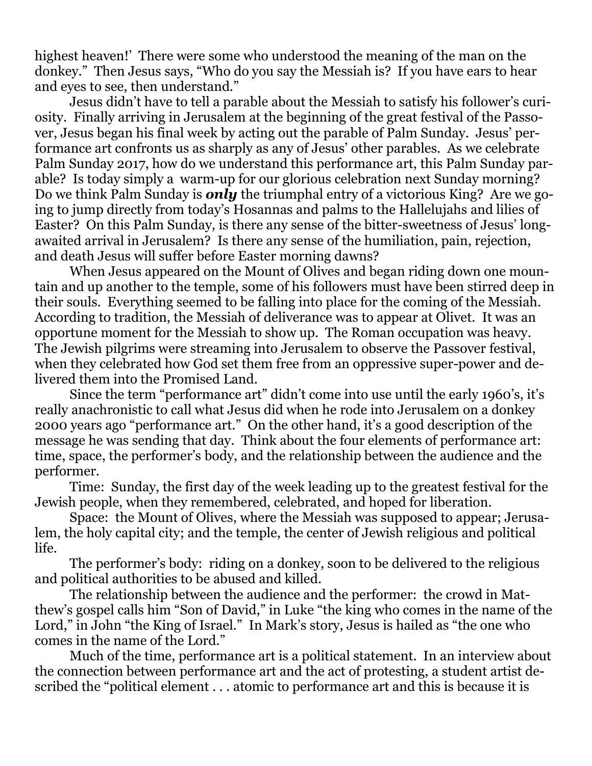highest heaven!' There were some who understood the meaning of the man on the donkey." Then Jesus says, "Who do you say the Messiah is? If you have ears to hear and eyes to see, then understand."

Jesus didn't have to tell a parable about the Messiah to satisfy his follower's curiosity. Finally arriving in Jerusalem at the beginning of the great festival of the Passover, Jesus began his final week by acting out the parable of Palm Sunday. Jesus' performance art confronts us as sharply as any of Jesus' other parables. As we celebrate Palm Sunday 2017, how do we understand this performance art, this Palm Sunday parable? Is today simply a warm-up for our glorious celebration next Sunday morning? Do we think Palm Sunday is *only* the triumphal entry of a victorious King? Are we going to jump directly from today's Hosannas and palms to the Hallelujahs and lilies of Easter? On this Palm Sunday, is there any sense of the bitter-sweetness of Jesus' longawaited arrival in Jerusalem? Is there any sense of the humiliation, pain, rejection, and death Jesus will suffer before Easter morning dawns?

When Jesus appeared on the Mount of Olives and began riding down one mountain and up another to the temple, some of his followers must have been stirred deep in their souls. Everything seemed to be falling into place for the coming of the Messiah. According to tradition, the Messiah of deliverance was to appear at Olivet. It was an opportune moment for the Messiah to show up. The Roman occupation was heavy. The Jewish pilgrims were streaming into Jerusalem to observe the Passover festival, when they celebrated how God set them free from an oppressive super-power and delivered them into the Promised Land.

Since the term "performance art" didn't come into use until the early 1960's, it's really anachronistic to call what Jesus did when he rode into Jerusalem on a donkey 2000 years ago "performance art." On the other hand, it's a good description of the message he was sending that day. Think about the four elements of performance art: time, space, the performer's body, and the relationship between the audience and the performer.

Time: Sunday, the first day of the week leading up to the greatest festival for the Jewish people, when they remembered, celebrated, and hoped for liberation.

Space: the Mount of Olives, where the Messiah was supposed to appear; Jerusalem, the holy capital city; and the temple, the center of Jewish religious and political life.

The performer's body: riding on a donkey, soon to be delivered to the religious and political authorities to be abused and killed.

The relationship between the audience and the performer: the crowd in Matthew's gospel calls him "Son of David," in Luke "the king who comes in the name of the Lord," in John "the King of Israel." In Mark's story, Jesus is hailed as "the one who comes in the name of the Lord."

Much of the time, performance art is a political statement. In an interview about the connection between performance art and the act of protesting, a student artist described the "political element . . . atomic to performance art and this is because it is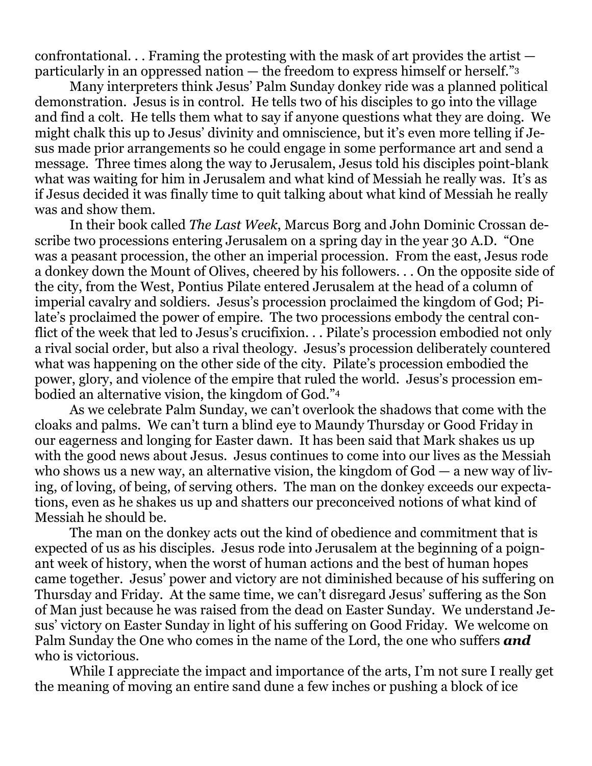confrontational. . . Framing the protesting with the mask of art provides the artist particularly in an oppressed nation — the freedom to express himself or herself."<sup>3</sup>

Many interpreters think Jesus' Palm Sunday donkey ride was a planned political demonstration. Jesus is in control. He tells two of his disciples to go into the village and find a colt. He tells them what to say if anyone questions what they are doing. We might chalk this up to Jesus' divinity and omniscience, but it's even more telling if Jesus made prior arrangements so he could engage in some performance art and send a message. Three times along the way to Jerusalem, Jesus told his disciples point-blank what was waiting for him in Jerusalem and what kind of Messiah he really was. It's as if Jesus decided it was finally time to quit talking about what kind of Messiah he really was and show them.

In their book called *The Last Week*, Marcus Borg and John Dominic Crossan describe two processions entering Jerusalem on a spring day in the year 30 A.D. "One was a peasant procession, the other an imperial procession. From the east, Jesus rode a donkey down the Mount of Olives, cheered by his followers. . . On the opposite side of the city, from the West, Pontius Pilate entered Jerusalem at the head of a column of imperial cavalry and soldiers. Jesus's procession proclaimed the kingdom of God; Pilate's proclaimed the power of empire. The two processions embody the central conflict of the week that led to Jesus's crucifixion. . . Pilate's procession embodied not only a rival social order, but also a rival theology. Jesus's procession deliberately countered what was happening on the other side of the city. Pilate's procession embodied the power, glory, and violence of the empire that ruled the world. Jesus's procession embodied an alternative vision, the kingdom of God."<sup>4</sup>

As we celebrate Palm Sunday, we can't overlook the shadows that come with the cloaks and palms. We can't turn a blind eye to Maundy Thursday or Good Friday in our eagerness and longing for Easter dawn. It has been said that Mark shakes us up with the good news about Jesus. Jesus continues to come into our lives as the Messiah who shows us a new way, an alternative vision, the kingdom of God — a new way of living, of loving, of being, of serving others. The man on the donkey exceeds our expectations, even as he shakes us up and shatters our preconceived notions of what kind of Messiah he should be.

The man on the donkey acts out the kind of obedience and commitment that is expected of us as his disciples. Jesus rode into Jerusalem at the beginning of a poignant week of history, when the worst of human actions and the best of human hopes came together. Jesus' power and victory are not diminished because of his suffering on Thursday and Friday. At the same time, we can't disregard Jesus' suffering as the Son of Man just because he was raised from the dead on Easter Sunday. We understand Jesus' victory on Easter Sunday in light of his suffering on Good Friday. We welcome on Palm Sunday the One who comes in the name of the Lord, the one who suffers *and* who is victorious.

While I appreciate the impact and importance of the arts, I'm not sure I really get the meaning of moving an entire sand dune a few inches or pushing a block of ice